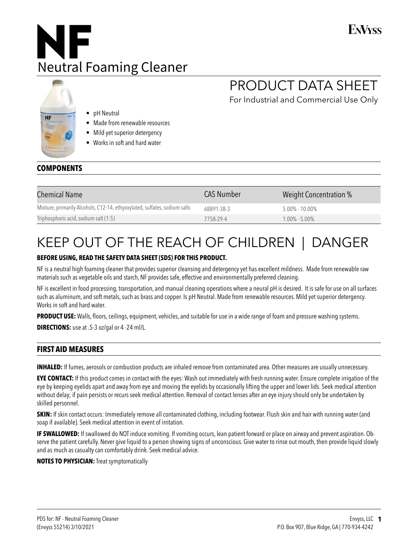### **FNVyss**



# PRODUCT DATA SHEET

For Industrial and Commercial Use Only

- pH Neutral
- Made from renewable resources
- Mild yet superior detergency
- Works in soft and hard water

### **COMPONENTS**

NF

| <b>Chemical Name</b>                                                      | <b>CAS Number</b> | Weight Concentration % |
|---------------------------------------------------------------------------|-------------------|------------------------|
| Mixture, primarily Alcohols, C12-14, ethyoxylated, sulfates, sodium salts | 68891-38-3        | $5.00\% - 10.00\%$     |
| Triphosphoric acid, sodium salt (1:5)                                     | 7758-29-4         | $1.00\% - 5.00\%$      |

# KEEP OUT OF THE REACH OF CHILDREN | DANGER

#### **BEFORE USING, READ THE SAFETY DATA SHEET (SDS) FOR THIS PRODUCT.**

NF is a neutral high foaming cleaner that provides superior cleansing and detergency yet has excellent mildness. Made from renewable raw materials such as vegetable oils and starch, NF provides safe, effective and environmentally preferred cleaning.

NF is excellent in food processing, transportation, and manual cleaning operations where a neural pH is desired. It is safe for use on all surfaces such as aluminum, and soft metals, such as brass and copper. Is pH Neutral. Made from renewable resources. Mild yet superior detergency. Works in soft and hard water.

**PRODUCT USE:** Walls, floors, ceilings, equipment, vehicles, and suitable for use in a wide range of foam and pressure washing systems.

**DIRECTIONS:** use at .5-3 oz/gal or 4 -24 ml/L.

### **FIRST AID MEASURES**

**INHALED:** If fumes, aerosols or combustion products are inhaled remove from contaminated area. Other measures are usually unnecessary.

**EYE CONTACT:** If this product comes in contact with the eyes: Wash out immediately with fresh running water. Ensure complete irrigation of the eye by keeping eyelids apart and away from eye and moving the eyelids by occasionally lifting the upper and lower lids. Seek medical attention without delay; if pain persists or recurs seek medical attention. Removal of contact lenses after an eye injury should only be undertaken by skilled personnel.

**SKIN:** If skin contact occurs: Immediately remove all contaminated clothing, including footwear. Flush skin and hair with running water (and soap if available). Seek medical attention in event of irritation.

**IF SWALLOWED:** If swallowed do NOT induce vomiting. If vomiting occurs, lean patient forward or place on airway and prevent aspiration. Observe the patient carefully. Never give liquid to a person showing signs of unconscious. Give water to rinse out mouth, then provide liquid slowly and as much as casualty can comfortably drink. Seek medical advice.

**NOTES TO PHYSICIAN:** Treat symptomatically